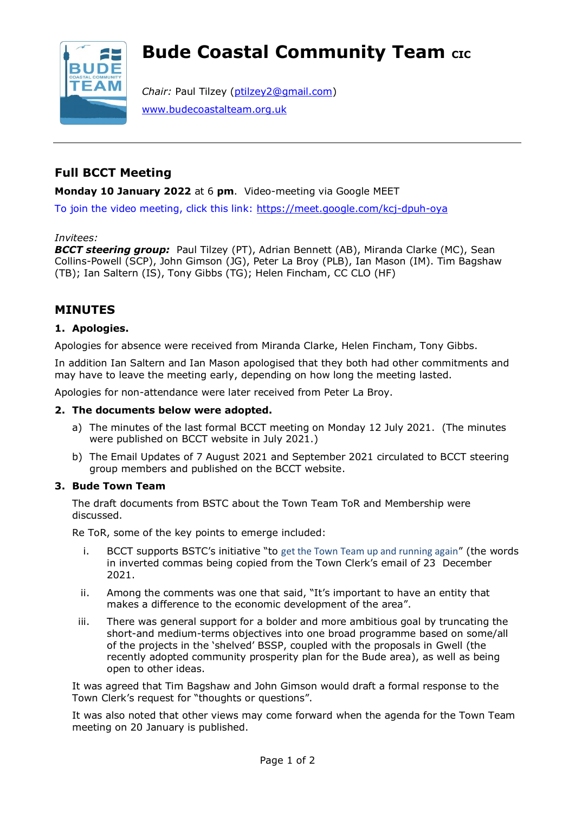# **Bude Coastal Community Team CIC**



*Chair:* Paul Tilzey [\(ptilzey2@gmail.com\)](mailto:ptilzey2@gmail.com) [www.budecoastalteam.org.uk](http://www.budecoastalteam.org.uk/)

# **Full BCCT Meeting**

**Monday 10 January 2022** at 6 **pm**. Video-meeting via Google MEET

To join the video meeting, click this link:<https://meet.google.com/kcj-dpuh-oya>

#### *Invitees:*

*BCCT steering group:* Paul Tilzey (PT), Adrian Bennett (AB), Miranda Clarke (MC), Sean Collins-Powell (SCP), John Gimson (JG), Peter La Broy (PLB), Ian Mason (IM). Tim Bagshaw (TB); Ian Saltern (IS), Tony Gibbs (TG); Helen Fincham, CC CLO (HF)

# **MINUTES**

# **1. Apologies.**

Apologies for absence were received from Miranda Clarke, Helen Fincham, Tony Gibbs.

In addition Ian Saltern and Ian Mason apologised that they both had other commitments and may have to leave the meeting early, depending on how long the meeting lasted.

Apologies for non-attendance were later received from Peter La Broy.

### **2. The documents below were adopted.**

- a) The minutes of the last formal BCCT meeting on Monday 12 July 2021. (The minutes were published on BCCT website in July 2021.)
- b) The Email Updates of 7 August 2021 and September 2021 circulated to BCCT steering group members and published on the BCCT website.

# **3. Bude Town Team**

The draft documents from BSTC about the Town Team ToR and Membership were discussed.

Re ToR, some of the key points to emerge included:

- i. BCCT supports BSTC's initiative "to get the Town Team up and running again" (the words in inverted commas being copied from the Town Clerk's email of 23 December 2021.
- ii. Among the comments was one that said, "It's important to have an entity that makes a difference to the economic development of the area".
- iii. There was general support for a bolder and more ambitious goal by truncating the short-and medium-terms objectives into one broad programme based on some/all of the projects in the 'shelved' BSSP, coupled with the proposals in Gwell (the recently adopted community prosperity plan for the Bude area), as well as being open to other ideas.

It was agreed that Tim Bagshaw and John Gimson would draft a formal response to the Town Clerk's request for "thoughts or questions".

It was also noted that other views may come forward when the agenda for the Town Team meeting on 20 January is published.